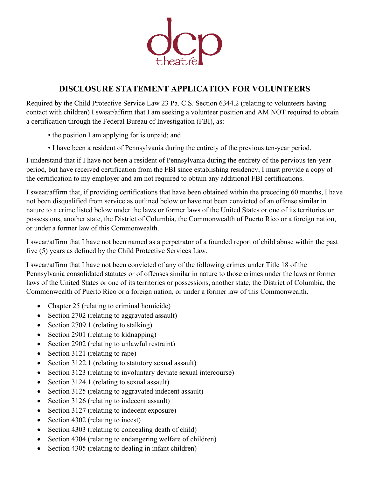

## **DISCLOSURE STATEMENT APPLICATION FOR VOLUNTEERS**

Required by the Child Protective Service Law 23 Pa. C.S. Section 6344.2 (relating to volunteers having contact with children) I swear/affirm that I am seeking a volunteer position and AM NOT required to obtain a certification through the Federal Bureau of Investigation (FBI), as:

- the position I am applying for is unpaid; and
- I have been a resident of Pennsylvania during the entirety of the previous ten-year period.

I understand that if I have not been a resident of Pennsylvania during the entirety of the pervious ten-year period, but have received certification from the FBI since establishing residency, I must provide a copy of the certification to my employer and am not required to obtain any additional FBI certifications.

I swear/affirm that, if providing certifications that have been obtained within the preceding 60 months, I have not been disqualified from service as outlined below or have not been convicted of an offense similar in nature to a crime listed below under the laws or former laws of the United States or one of its territories or possessions, another state, the District of Columbia, the Commonwealth of Puerto Rico or a foreign nation, or under a former law of this Commonwealth.

I swear/affirm that I have not been named as a perpetrator of a founded report of child abuse within the past five (5) years as defined by the Child Protective Services Law.

I swear/affirm that I have not been convicted of any of the following crimes under Title 18 of the Pennsylvania consolidated statutes or of offenses similar in nature to those crimes under the laws or former laws of the United States or one of its territories or possessions, another state, the District of Columbia, the Commonwealth of Puerto Rico or a foreign nation, or under a former law of this Commonwealth.

- Chapter 25 (relating to criminal homicide)
- Section 2702 (relating to aggravated assault)
- Section 2709.1 (relating to stalking)
- Section 2901 (relating to kidnapping)
- Section 2902 (relating to unlawful restraint)
- Section 3121 (relating to rape)
- Section 3122.1 (relating to statutory sexual assault)
- Section 3123 (relating to involuntary deviate sexual intercourse)
- Section 3124.1 (relating to sexual assault)
- Section 3125 (relating to aggravated indecent assault)
- Section 3126 (relating to indecent assault)
- Section 3127 (relating to indecent exposure)
- Section 4302 (relating to incest)
- Section 4303 (relating to concealing death of child)
- Section 4304 (relating to endangering welfare of children)
- Section 4305 (relating to dealing in infant children)